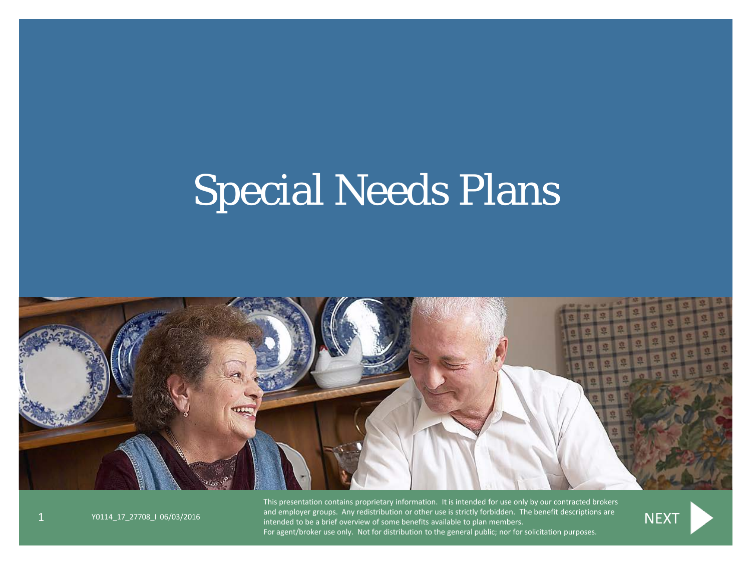# Special Needs Plans



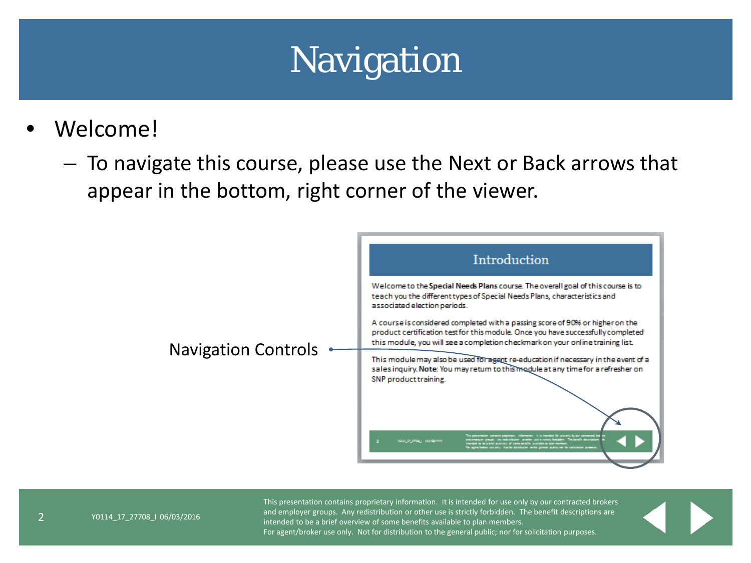## Navigation

- <span id="page-1-0"></span>Welcome!
	- To navigate this course, please use the Next or Back arrows that appear in the bottom, right corner of the viewer.



2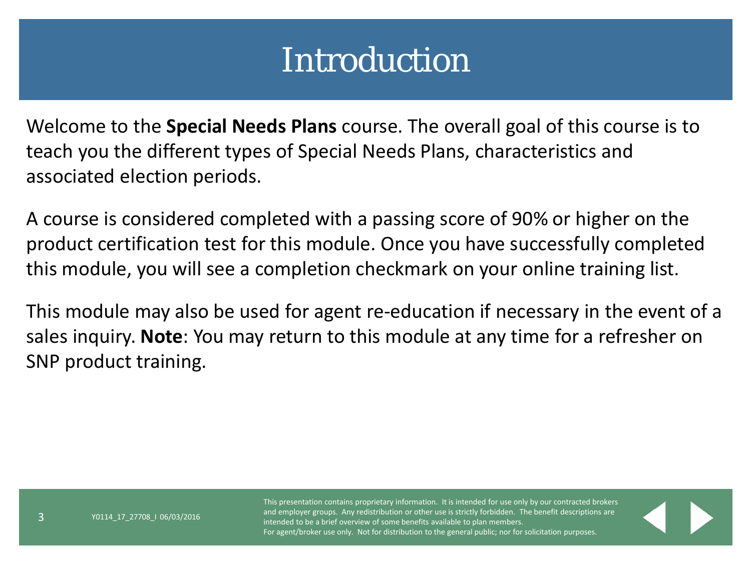#### Introduction

Welcome to the **Special Needs Plans** course. The overall goal of this course is to teach you the different types of Special Needs Plans, characteristics and associated election periods.

A course is considered completed with a passing score of 90% or higher on the product certification test for this module. Once you have successfully completed this module, you will see a completion checkmark on your online training list.

This module may also be used for agent re-education if necessary in the event of a sales inquiry. **Note**: You may return to this module at any time for a refresher on SNP product training.

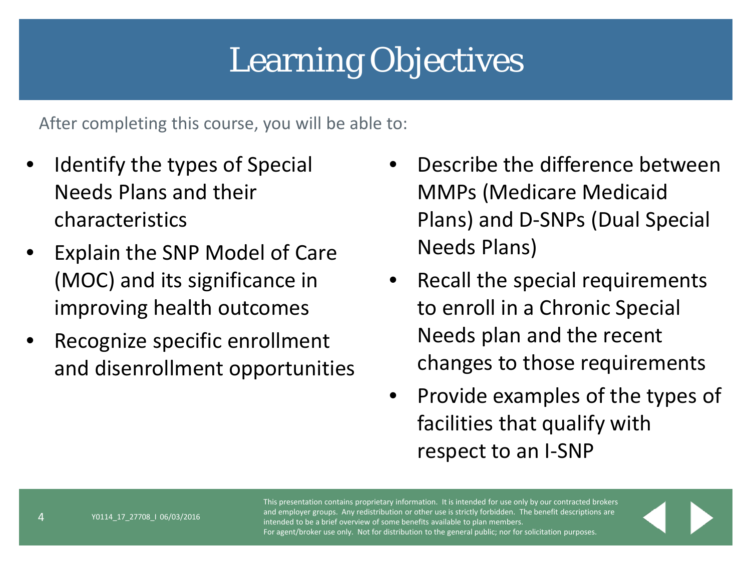# Learning Objectives

After completing this course, you will be able to:

- Identify the types of Special Needs Plans and their characteristics
- Explain the SNP Model of Care (MOC) and its significance in improving health outcomes
- Recognize specific enrollment and disenrollment opportunities
- Describe the difference between MMPs (Medicare Medicaid Plans) and D-SNPs (Dual Special Needs Plans)
- Recall the special requirements to enroll in a Chronic Special Needs plan and the recent changes to those requirements
- Provide examples of the types of facilities that qualify with respect to an I-SNP

This presentation contains proprietary information. It is intended for use only by our contracted brokers and employer groups. Any redistribution or other use is strictly forbidden. The benefit descriptions are intended to be a brief overview of some benefits available to plan members. For agent/broker use only. Not for distribution to the general public; nor for solicitation purposes.

4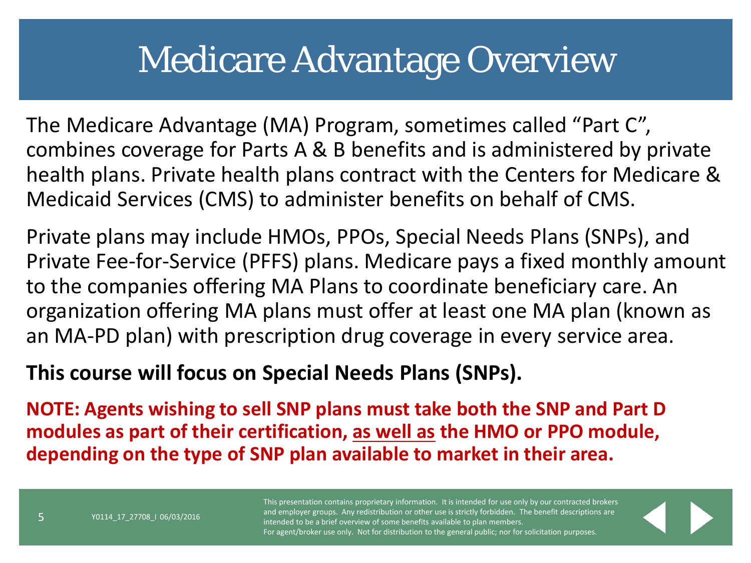#### Medicare Advantage Overview

The Medicare Advantage (MA) Program, sometimes called "Part C", combines coverage for Parts A & B benefits and is administered by private health plans. Private health plans contract with the Centers for Medicare & Medicaid Services (CMS) to administer benefits on behalf of CMS.

Private plans may include HMOs, PPOs, Special Needs Plans (SNPs), and Private Fee-for-Service (PFFS) plans. Medicare pays a fixed monthly amount to the companies offering MA Plans to coordinate beneficiary care. An organization offering MA plans must offer at least one MA plan (known as an MA-PD plan) with prescription drug coverage in every service area.

#### **This course will focus on Special Needs Plans (SNPs).**

**NOTE: Agents wishing to sell SNP plans must take both the SNP and Part D modules as part of their certification, as well as the HMO or PPO module, depending on the type of SNP plan available to market in their area.** 

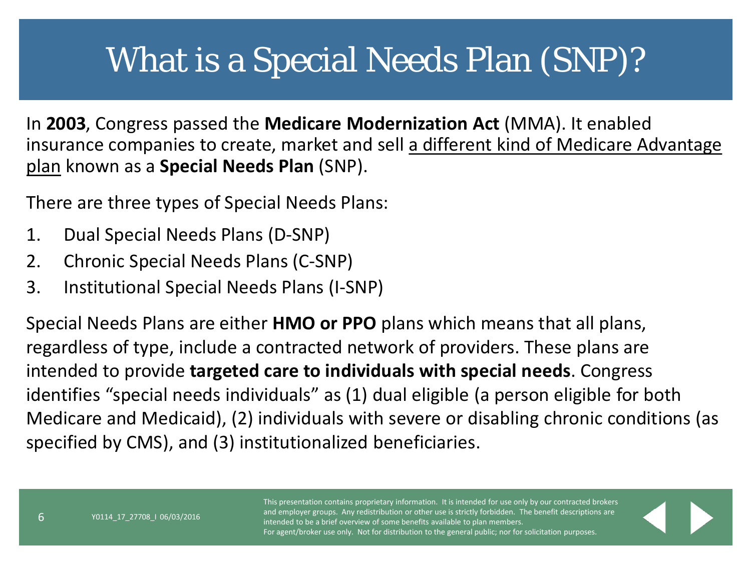#### What is a Special Needs Plan (SNP)?

In **2003**, Congress passed the **Medicare Modernization Act** (MMA). It enabled insurance companies to create, market and sell a different kind of Medicare Advantage plan known as a **Special Needs Plan** (SNP).

There are three types of Special Needs Plans:

- 1. Dual Special Needs Plans (D-SNP)
- 2. Chronic Special Needs Plans (C-SNP)
- 3. Institutional Special Needs Plans (I-SNP)

Special Needs Plans are either **HMO or PPO** plans which means that all plans, regardless of type, include a contracted network of providers. These plans are intended to provide **targeted care to individuals with special needs**. Congress identifies "special needs individuals" as (1) dual eligible (a person eligible for both Medicare and Medicaid), (2) individuals with severe or disabling chronic conditions (as specified by CMS), and (3) institutionalized beneficiaries.

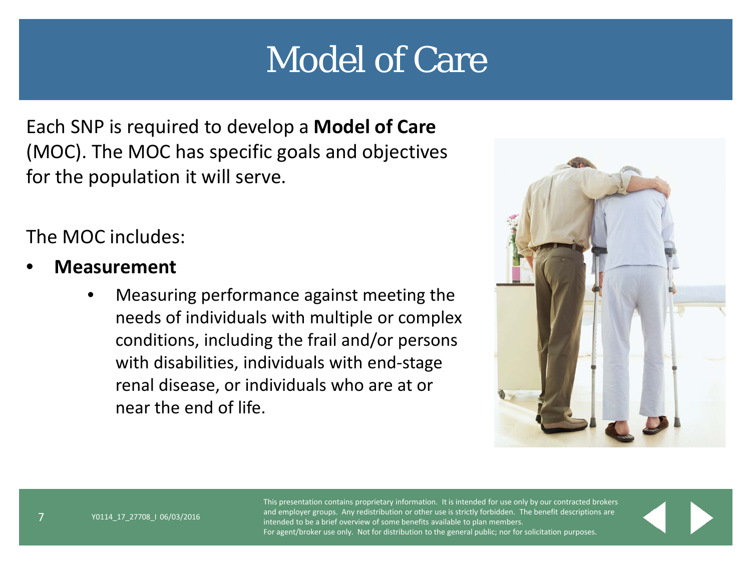# Model of Care

Each SNP is required to develop a **Model of Care**  (MOC). The MOC has specific goals and objectives for the population it will serve.

The MOC includes:

- **Measurement** 
	- Measuring performance against meeting the needs of individuals with multiple or complex conditions, including the frail and/or persons with disabilities, individuals with end-stage renal disease, or individuals who are at or near the end of life.

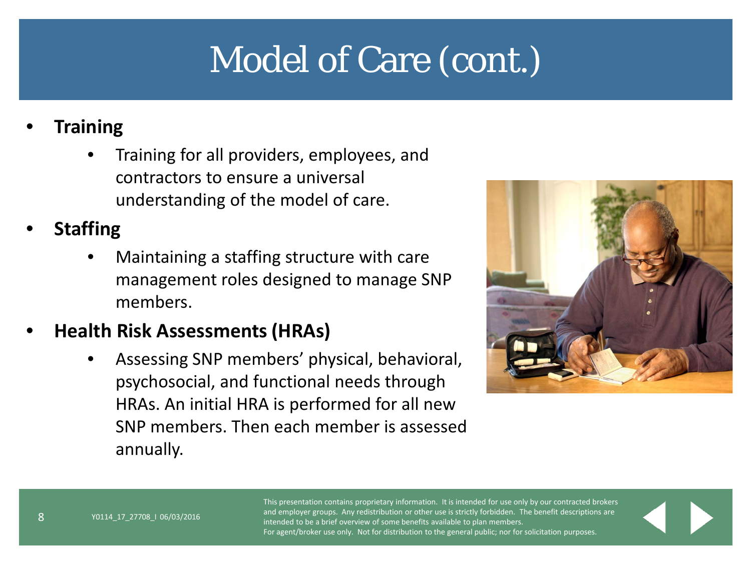# Model of Care (cont.)

#### • **Training**

• Training for all providers, employees, and contractors to ensure a universal understanding of the model of care.

#### • **Staffing**

• Maintaining a staffing structure with care management roles designed to manage SNP members.

#### • **Health Risk Assessments (HRAs)**

Y0114\_17\_27708\_I 06/03/2016

• Assessing SNP members' physical, behavioral, psychosocial, and functional needs through HRAs. An initial HRA is performed for all new SNP members. Then each member is assessed annually.

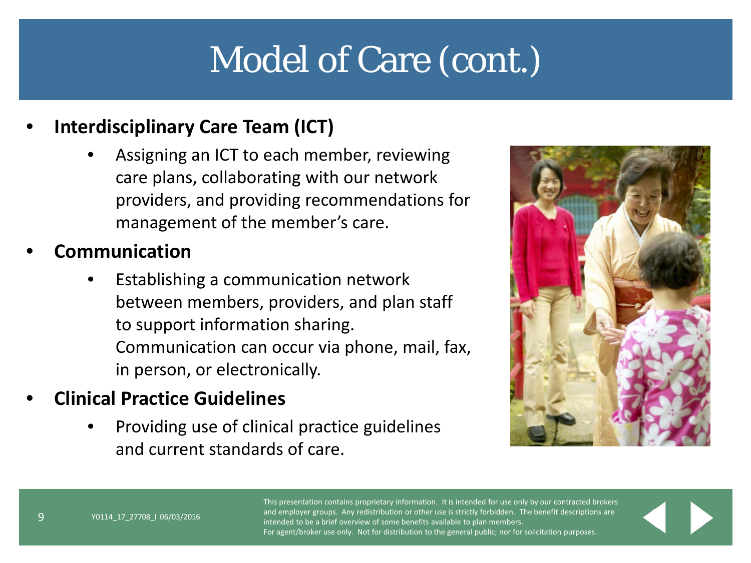# Model of Care (cont.)

#### • **Interdisciplinary Care Team (ICT)**

- Assigning an ICT to each member, reviewing care plans, collaborating with our network providers, and providing recommendations for management of the member's care.
- **Communication**
	- Establishing a communication network between members, providers, and plan staff to support information sharing. Communication can occur via phone, mail, fax, in person, or electronically.
- **Clinical Practice Guidelines**
	- Providing use of clinical practice guidelines and current standards of care.



This presentation contains proprietary information. It is intended for use only by our contracted brokers and employer groups. Any redistribution or other use is strictly forbidden. The benefit descriptions are intended to be a brief overview of some benefits available to plan members. For agent/broker use only. Not for distribution to the general public; nor for solicitation purposes.

9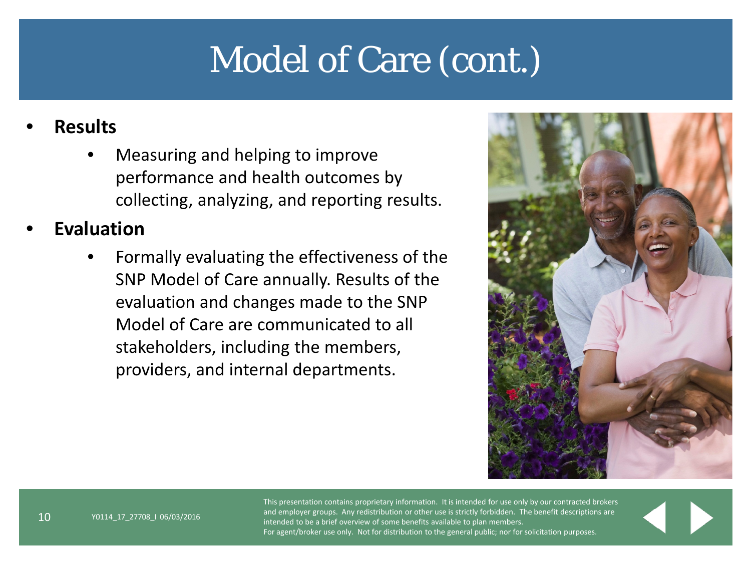# Model of Care (cont.)

#### • **Results**

• Measuring and helping to improve performance and health outcomes by collecting, analyzing, and reporting results.

#### • **Evaluation**

• Formally evaluating the effectiveness of the SNP Model of Care annually. Results of the evaluation and changes made to the SNP Model of Care are communicated to all stakeholders, including the members, providers, and internal departments.

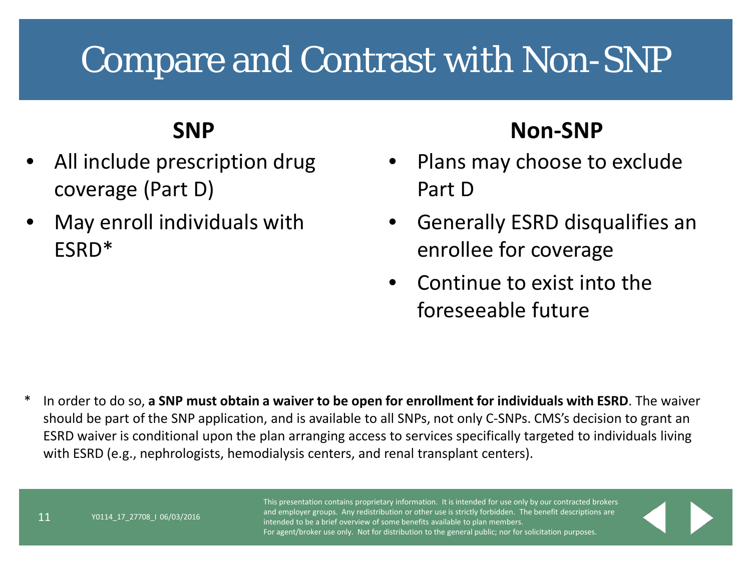# Compare and Contrast with Non-SNP

#### **SNP**

- All include prescription drug coverage (Part D)
- May enroll individuals with ESRD\*

#### **Non-SNP**

- Plans may choose to exclude Part D
- Generally ESRD disqualifies an enrollee for coverage
- Continue to exist into the foreseeable future

\* In order to do so, **a SNP must obtain a waiver to be open for enrollment for individuals with ESRD**. The waiver should be part of the SNP application, and is available to all SNPs, not only C-SNPs. CMS's decision to grant an ESRD waiver is conditional upon the plan arranging access to services specifically targeted to individuals living with ESRD (e.g., nephrologists, hemodialysis centers, and renal transplant centers).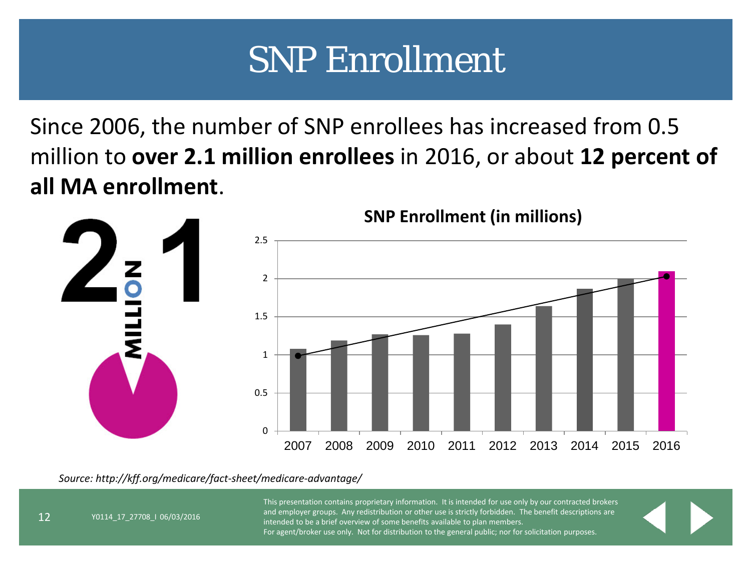# SNP Enrollment

Since 2006, the number of SNP enrollees has increased from 0.5 million to **over 2.1 million enrollees** in 2016, or about **12 percent of all MA enrollment**.



*Source: http://kff.org/medicare/fact-sheet/medicare-advantage/*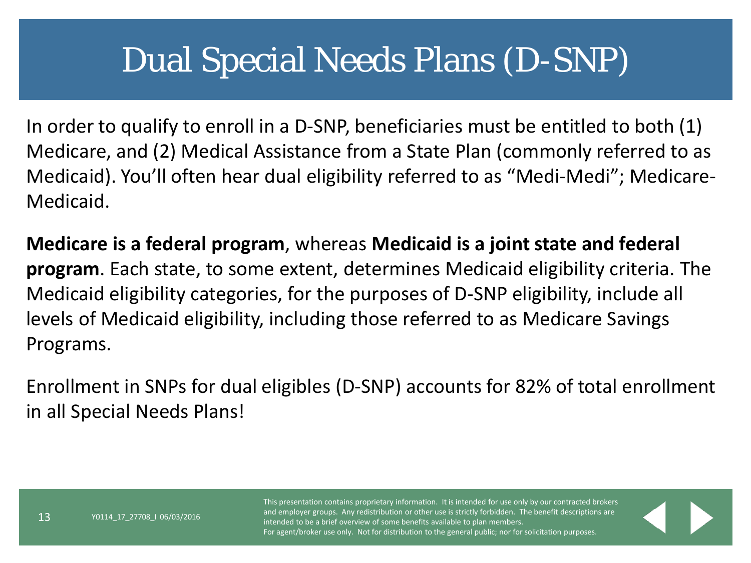#### Dual Special Needs Plans (D-SNP)

In order to qualify to enroll in a D-SNP, beneficiaries must be entitled to both (1) Medicare, and (2) Medical Assistance from a State Plan (commonly referred to as Medicaid). You'll often hear dual eligibility referred to as "Medi-Medi"; Medicare-Medicaid.

**Medicare is a federal program**, whereas **Medicaid is a joint state and federal program**. Each state, to some extent, determines Medicaid eligibility criteria. The Medicaid eligibility categories, for the purposes of D-SNP eligibility, include all levels of Medicaid eligibility, including those referred to as Medicare Savings Programs.

Enrollment in SNPs for dual eligibles (D-SNP) accounts for 82% of total enrollment in all Special Needs Plans!

13

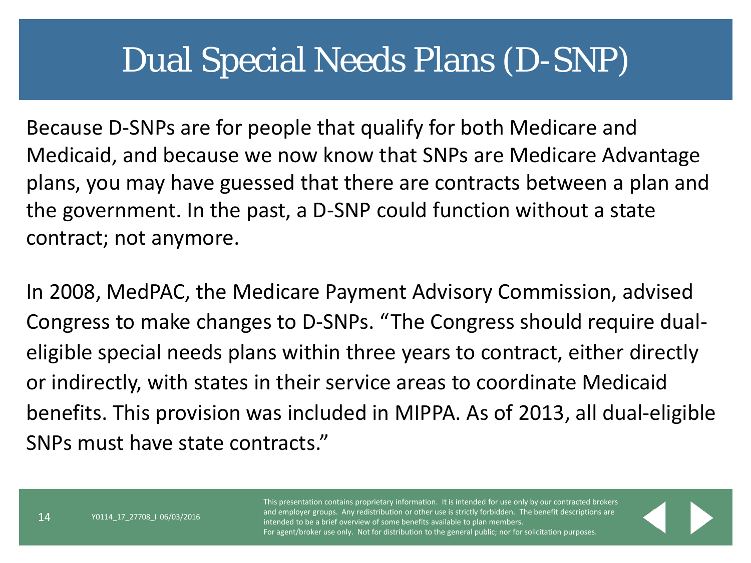#### Dual Special Needs Plans (D-SNP)

Because D-SNPs are for people that qualify for both Medicare and Medicaid, and because we now know that SNPs are Medicare Advantage plans, you may have guessed that there are contracts between a plan and the government. In the past, a D-SNP could function without a state contract; not anymore.

In 2008, MedPAC, the Medicare Payment Advisory Commission, advised Congress to make changes to D-SNPs. "The Congress should require dualeligible special needs plans within three years to contract, either directly or indirectly, with states in their service areas to coordinate Medicaid benefits. This provision was included in MIPPA. As of 2013, all dual-eligible SNPs must have state contracts."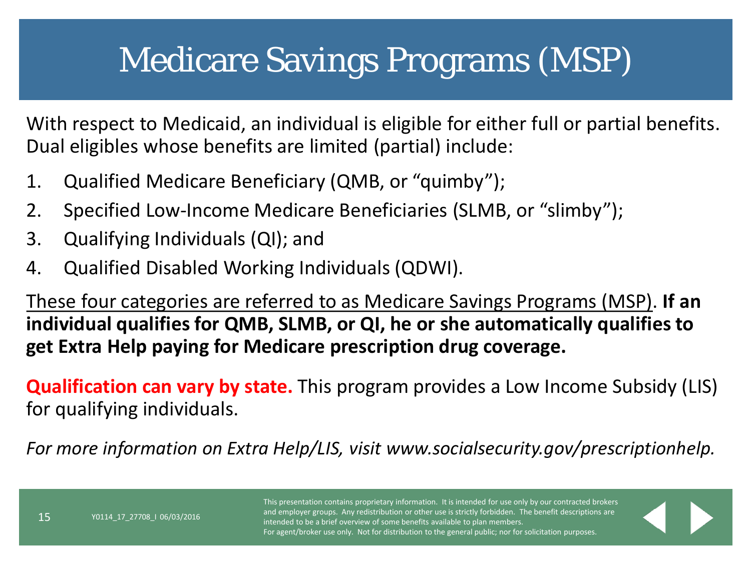## Medicare Savings Programs (MSP)

With respect to Medicaid, an individual is eligible for either full or partial benefits. Dual eligibles whose benefits are limited (partial) include:

- 1. Qualified Medicare Beneficiary (QMB, or "quimby");
- 2. Specified Low-Income Medicare Beneficiaries (SLMB, or "slimby");
- 3. Qualifying Individuals (QI); and
- 4. Qualified Disabled Working Individuals (QDWI).

These four categories are referred to as Medicare Savings Programs (MSP). **If an individual qualifies for QMB, SLMB, or QI, he or she automatically qualifies to get Extra Help paying for Medicare prescription drug coverage.** 

**Qualification can vary by state.** This program provides a Low Income Subsidy (LIS) for qualifying individuals.

*For more information on Extra Help/LIS, visit www.socialsecurity.gov/prescriptionhelp.* 

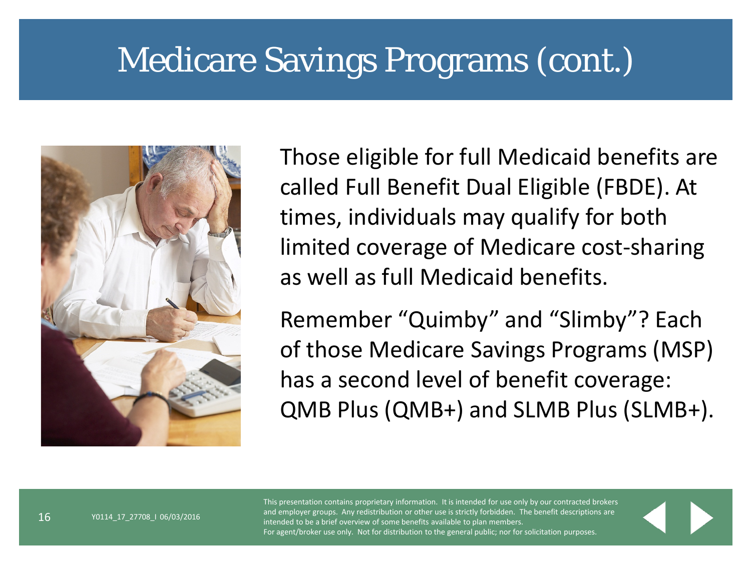#### Medicare Savings Programs (cont.)



Those eligible for full Medicaid benefits are called Full Benefit Dual Eligible (FBDE). At times, individuals may qualify for both limited coverage of Medicare cost-sharing as well as full Medicaid benefits.

Remember "Quimby" and "Slimby"? Each of those Medicare Savings Programs (MSP) has a second level of benefit coverage: QMB Plus (QMB+) and SLMB Plus (SLMB+).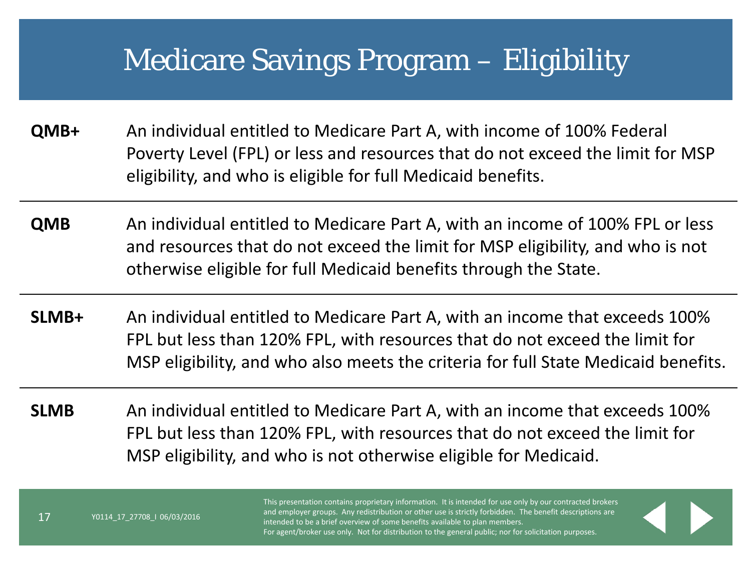#### Medicare Savings Program – Eligibility

- **QMB+** An individual entitled to Medicare Part A, with income of 100% Federal Poverty Level (FPL) or less and resources that do not exceed the limit for MSP eligibility, and who is eligible for full Medicaid benefits.
- **QMB** An individual entitled to Medicare Part A, with an income of 100% FPL or less and resources that do not exceed the limit for MSP eligibility, and who is not otherwise eligible for full Medicaid benefits through the State.
- **SLMB+** An individual entitled to Medicare Part A, with an income that exceeds 100% FPL but less than 120% FPL, with resources that do not exceed the limit for MSP eligibility, and who also meets the criteria for full State Medicaid benefits.
- **SLMB** An individual entitled to Medicare Part A, with an income that exceeds 100% FPL but less than 120% FPL, with resources that do not exceed the limit for MSP eligibility, and who is not otherwise eligible for Medicaid.

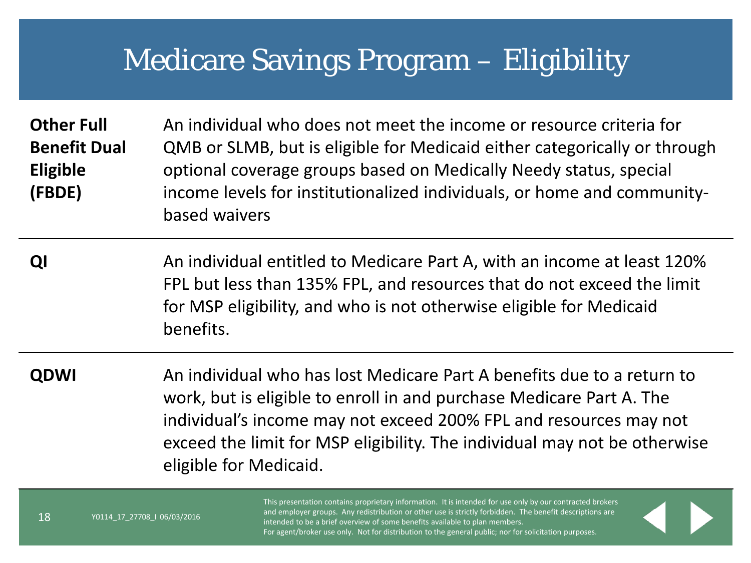#### Medicare Savings Program – Eligibility

**Other Full Benefit Dual Eligible (FBDE)** An individual who does not meet the income or resource criteria for QMB or SLMB, but is eligible for Medicaid either categorically or through optional coverage groups based on Medically Needy status, special income levels for institutionalized individuals, or home and communitybased waivers

**QI** An individual entitled to Medicare Part A, with an income at least 120% FPL but less than 135% FPL, and resources that do not exceed the limit for MSP eligibility, and who is not otherwise eligible for Medicaid benefits.

**QDWI** An individual who has lost Medicare Part A benefits due to a return to work, but is eligible to enroll in and purchase Medicare Part A. The individual's income may not exceed 200% FPL and resources may not exceed the limit for MSP eligibility. The individual may not be otherwise eligible for Medicaid.

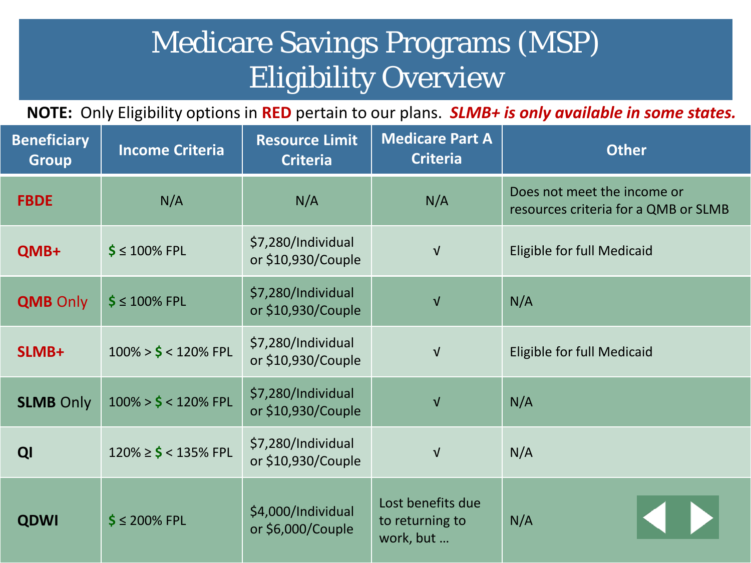#### Medicare Savings Programs (MSP) Eligibility Overview

**NOTE:** Only Eligibility options in **RED** pertain to our plans. *SLMB+ is only available in some states.*

| <b>Beneficiary</b><br><b>Group</b> | <b>Income Criteria</b>     | <b>Resource Limit</b><br><b>Criteria</b> | <b>Medicare Part A</b><br><b>Criteria</b>         | <b>Other</b>                                                        |  |  |
|------------------------------------|----------------------------|------------------------------------------|---------------------------------------------------|---------------------------------------------------------------------|--|--|
| <b>FBDE</b>                        | N/A                        | N/A                                      | N/A                                               | Does not meet the income or<br>resources criteria for a QMB or SLMB |  |  |
| QMB+                               | $$≤ 100%$ FPL              | \$7,280/Individual<br>or \$10,930/Couple | $\sqrt{ }$                                        | Eligible for full Medicaid                                          |  |  |
| <b>QMB Only</b>                    | $$ \leq 100\%$ FPL         | \$7,280/Individual<br>or \$10,930/Couple | $\sqrt{ }$                                        | N/A                                                                 |  |  |
| SLMB+                              | $100\% > $ < 120\%$ FPL    | \$7,280/Individual<br>or \$10,930/Couple | $\sqrt{ }$                                        | Eligible for full Medicaid                                          |  |  |
| <b>SLMB Only</b>                   | $100\% > $ < 120\%$ FPL    | \$7,280/Individual<br>or \$10,930/Couple | $\sqrt{ }$                                        | N/A                                                                 |  |  |
| QI                                 | $120\% \geq $ < 135\%$ FPL | \$7,280/Individual<br>or \$10,930/Couple | $\sqrt{ }$                                        | N/A                                                                 |  |  |
| <b>QDWI</b>                        | $$ \leq 200\%$ FPL         | \$4,000/Individual<br>or \$6,000/Couple  | Lost benefits due<br>to returning to<br>work, but | N/A                                                                 |  |  |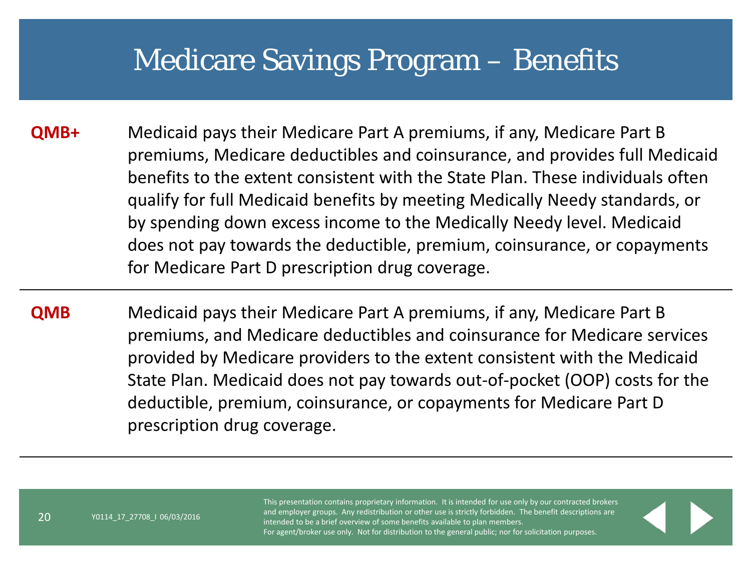#### Medicare Savings Program – Benefits

- **QMB+** Medicaid pays their Medicare Part A premiums, if any, Medicare Part B premiums, Medicare deductibles and coinsurance, and provides full Medicaid benefits to the extent consistent with the State Plan. These individuals often qualify for full Medicaid benefits by meeting Medically Needy standards, or by spending down excess income to the Medically Needy level. Medicaid does not pay towards the deductible, premium, coinsurance, or copayments for Medicare Part D prescription drug coverage.
- **QMB** Medicaid pays their Medicare Part A premiums, if any, Medicare Part B premiums, and Medicare deductibles and coinsurance for Medicare services provided by Medicare providers to the extent consistent with the Medicaid State Plan. Medicaid does not pay towards out-of-pocket (OOP) costs for the deductible, premium, coinsurance, or copayments for Medicare Part D prescription drug coverage.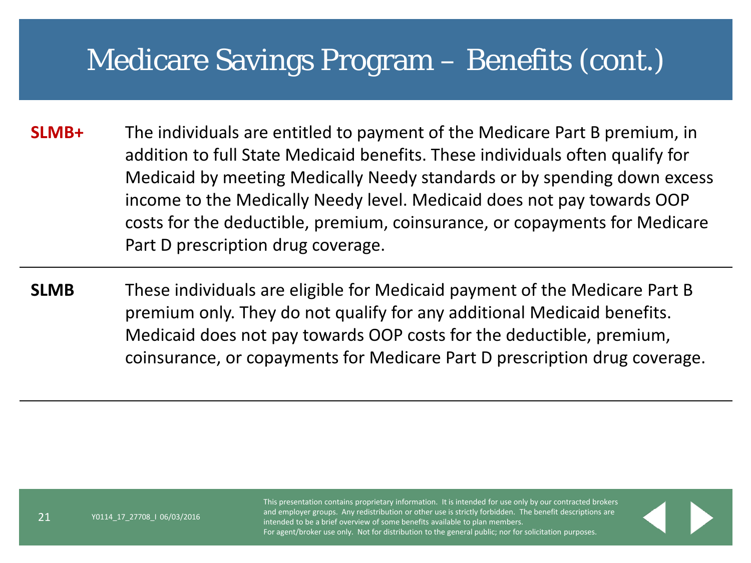#### Medicare Savings Program – Benefits (cont.)

**SLMB+** The individuals are entitled to payment of the Medicare Part B premium, in addition to full State Medicaid benefits. These individuals often qualify for Medicaid by meeting Medically Needy standards or by spending down excess income to the Medically Needy level. Medicaid does not pay towards OOP costs for the deductible, premium, coinsurance, or copayments for Medicare Part D prescription drug coverage.

**SLMB** These individuals are eligible for Medicaid payment of the Medicare Part B premium only. They do not qualify for any additional Medicaid benefits. Medicaid does not pay towards OOP costs for the deductible, premium, coinsurance, or copayments for Medicare Part D prescription drug coverage.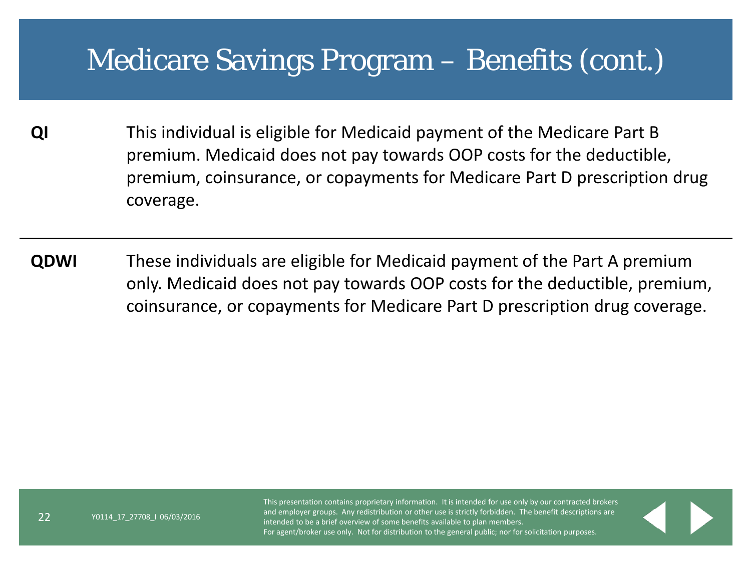#### Medicare Savings Program – Benefits (cont.)

- **QI** This individual is eligible for Medicaid payment of the Medicare Part B premium. Medicaid does not pay towards OOP costs for the deductible, premium, coinsurance, or copayments for Medicare Part D prescription drug coverage.
- **QDWI** These individuals are eligible for Medicaid payment of the Part A premium only. Medicaid does not pay towards OOP costs for the deductible, premium, coinsurance, or copayments for Medicare Part D prescription drug coverage.

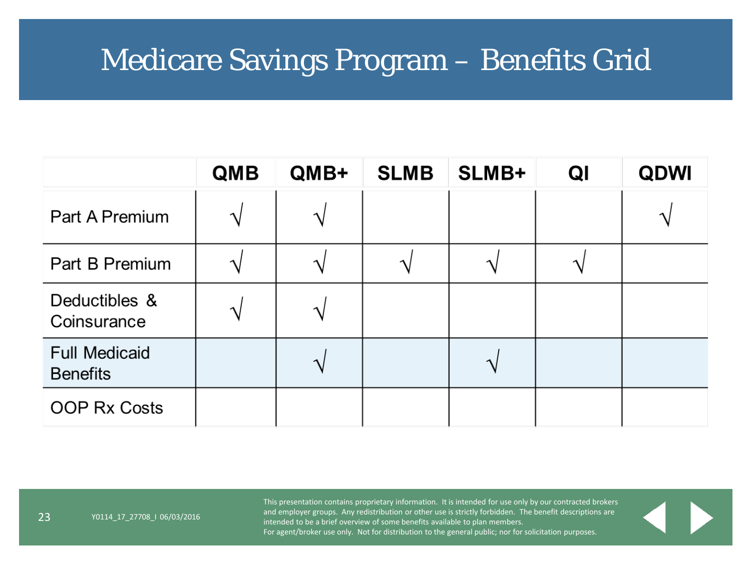#### Medicare Savings Program – Benefits Grid

|                                         | <b>QMB</b> | QMB+ | <b>SLMB</b> | SLMB+ | QI | <b>QDWI</b> |
|-----------------------------------------|------------|------|-------------|-------|----|-------------|
| Part A Premium                          | ᄾ          | ᄾ    |             |       |    |             |
| Part B Premium                          |            |      |             | ٦     |    |             |
| Deductibles &<br>Coinsurance            |            | へ    |             |       |    |             |
| <b>Full Medicaid</b><br><b>Benefits</b> |            |      |             | ่า    |    |             |
| <b>OOP Rx Costs</b>                     |            |      |             |       |    |             |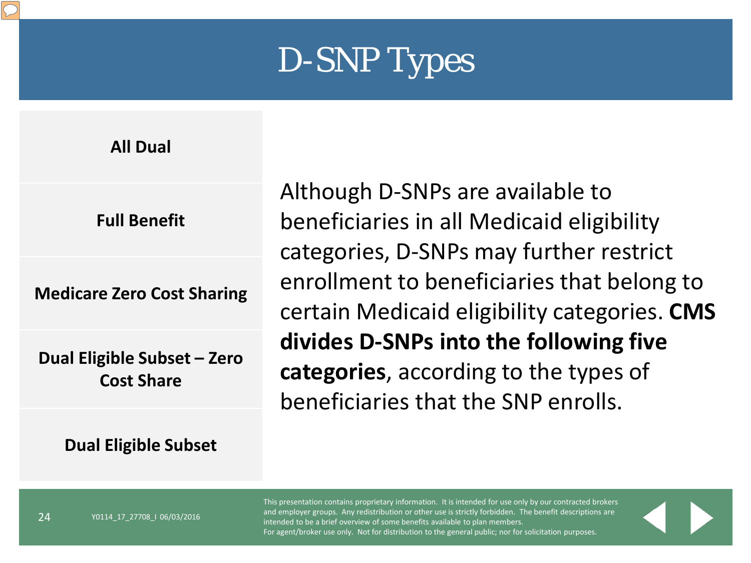

**All Dual**

**Full Benefit**

**Medicare Zero Cost Sharing**

**Dual Eligible Subset – Zero Cost Share**

**Dual Eligible Subset**

Y0114\_17\_27708\_I 06/03/2016

Although D-SNPs are available to beneficiaries in all Medicaid eligibility categories, D-SNPs may further restrict enrollment to beneficiaries that belong to certain Medicaid eligibility categories. **CMS divides D-SNPs into the following five categories**, according to the types of beneficiaries that the SNP enrolls.

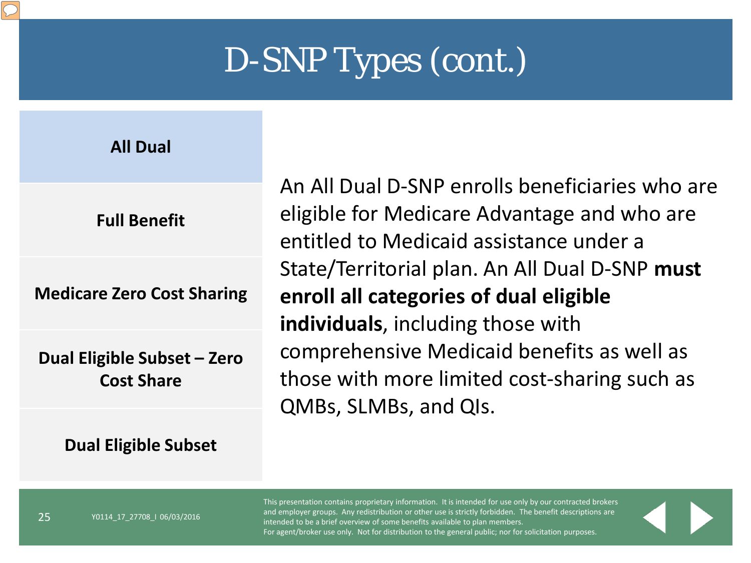**All Dual**

**Medicare Zero Cost Sharing**

**Dual Eligible Subset – Zero Cost Share**

**Dual Eligible Subset**

An All Dual D-SNP enrolls beneficiaries who are eligible for Medicare Advantage and who are entitled to Medicaid assistance under a State/Territorial plan. An All Dual D-SNP **must enroll all categories of dual eligible individuals**, including those with comprehensive Medicaid benefits as well as those with more limited cost-sharing such as QMBs, SLMBs, and QIs.

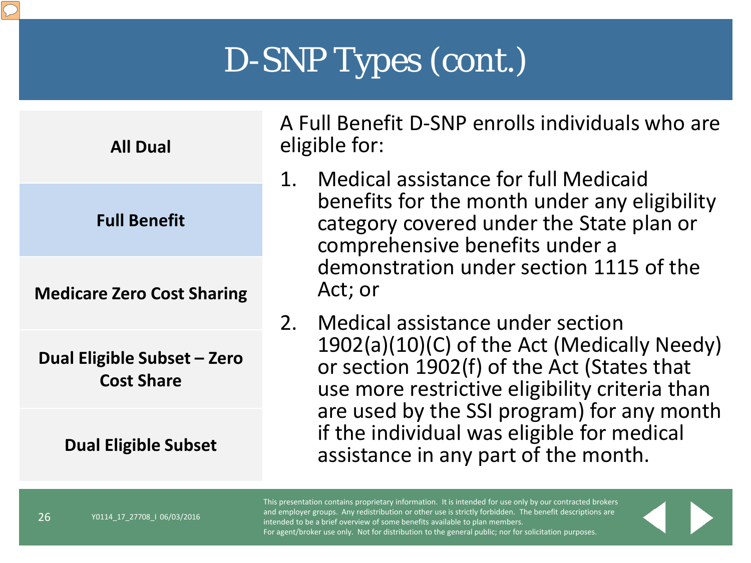| <b>All Dual</b>                                  | I |
|--------------------------------------------------|---|
| <b>Full Benefit</b>                              |   |
| <b>Medicare Zero Cost Sharing</b>                |   |
| Dual Eligible Subset – Zero<br><b>Cost Share</b> |   |
| <b>Dual Eligible Subset</b>                      |   |

Y0114\_17\_27708\_I 06/03/2016

A Full Benefit D-SNP enrolls individuals who are eligible for:

- 1. Medical assistance for full Medicaid benefits for the month under any eligibility category covered under the State plan or comprehensive benefits under a demonstration under section 1115 of the Act; or
- 2. Medical assistance under section 1902(a)(10)(C) of the Act (Medically Needy) or section 1902(f) of the Act (States that use more restrictive eligibility criteria than are used by the SSI program) for any month if the individual was eligible for medical assistance in any part of the month.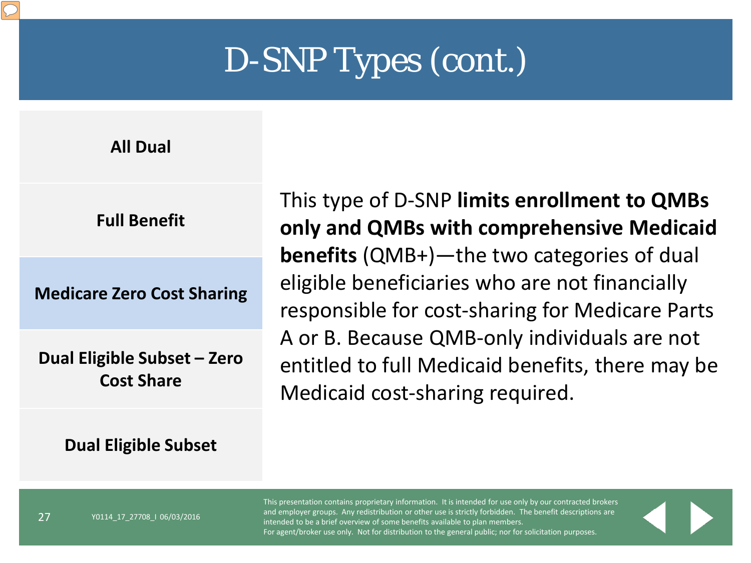**All Dual**

**Full Benefit**

**Medicare Zero Cost Sharing**

**Dual Eligible Subset – Zero Cost Share**

#### **Dual Eligible Subset**

This type of D-SNP **limits enrollment to QMBs only and QMBs with comprehensive Medicaid benefits** (QMB+)—the two categories of dual eligible beneficiaries who are not financially responsible for cost-sharing for Medicare Parts A or B. Because QMB-only individuals are not entitled to full Medicaid benefits, there may be Medicaid cost-sharing required.

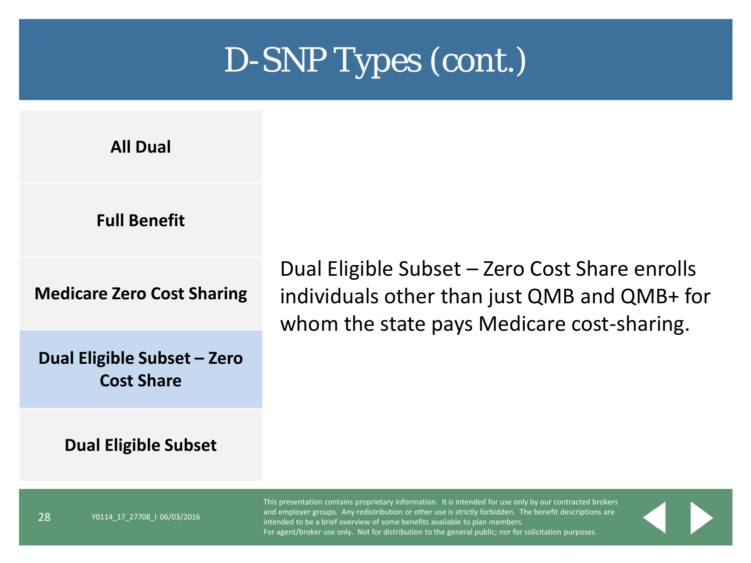**All Dual**

#### **Full Benefit**

**Medicare Zero Cost Sharing**

**Dual Eligible Subset – Zero Cost Share**

#### Dual Eligible Subset – Zero Cost Share enrolls individuals other than just QMB and QMB+ for whom the state pays Medicare cost-sharing.

**Dual Eligible Subset**

Y0114\_17\_27708\_I 06/03/2016

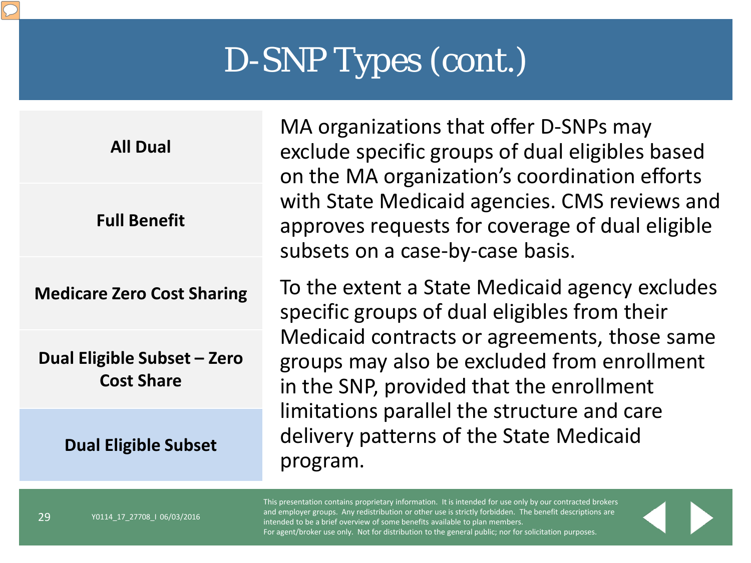**All Dual**

**Full Benefit**

**Medicare Zero Cost Sharing**

**Dual Eligible Subset – Zero Cost Share**

**Dual Eligible Subset**

Y0114\_17\_27708\_I 06/03/2016

MA organizations that offer D-SNPs may exclude specific groups of dual eligibles based on the MA organization's coordination efforts with State Medicaid agencies. CMS reviews and approves requests for coverage of dual eligible subsets on a case-by-case basis.

To the extent a State Medicaid agency excludes specific groups of dual eligibles from their Medicaid contracts or agreements, those same groups may also be excluded from enrollment in the SNP, provided that the enrollment limitations parallel the structure and care delivery patterns of the State Medicaid program.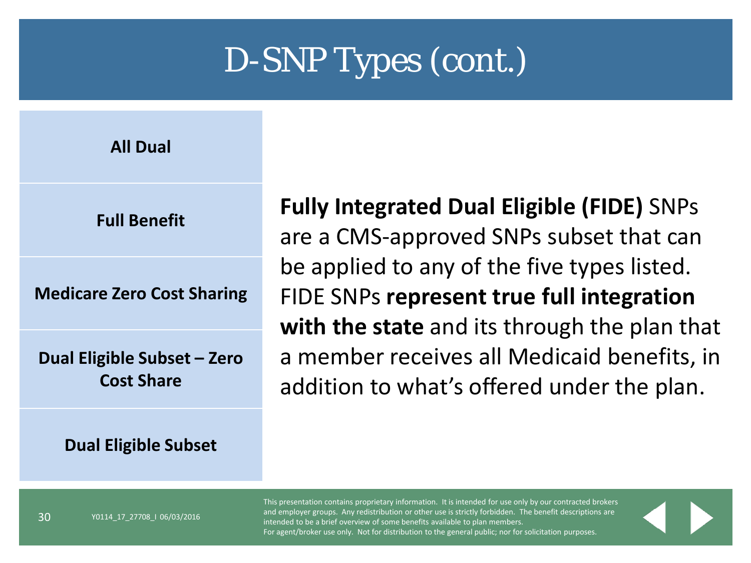**All Dual**

**Full Benefit**

**Medicare Zero Cost Sharing**

**Dual Eligible Subset – Zero Cost Share**

#### **Dual Eligible Subset**

Y0114\_17\_27708\_I 06/03/2016

**Fully Integrated Dual Eligible (FIDE)** SNPs are a CMS-approved SNPs subset that can be applied to any of the five types listed. FIDE SNPs **represent true full integration with the state** and its through the plan that a member receives all Medicaid benefits, in addition to what's offered under the plan.

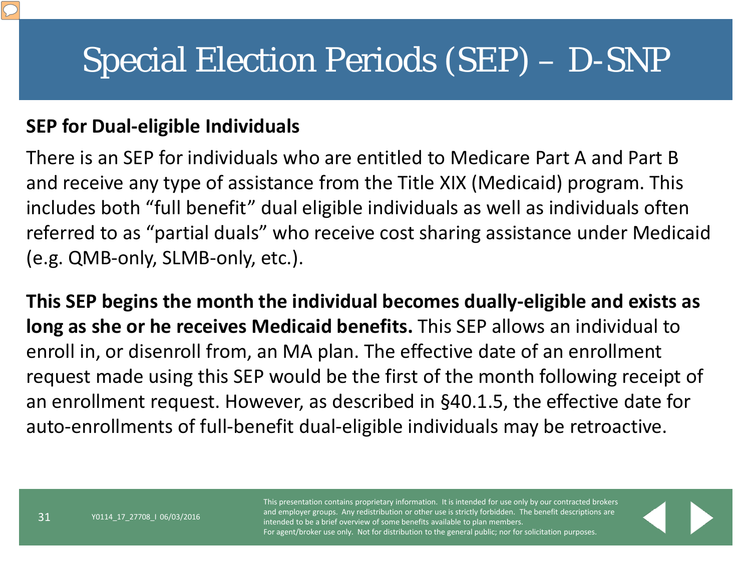## Special Election Periods (SEP) – D-SNP

#### **SEP for Dual-eligible Individuals**

There is an SEP for individuals who are entitled to Medicare Part A and Part B and receive any type of assistance from the Title XIX (Medicaid) program. This includes both "full benefit" dual eligible individuals as well as individuals often referred to as "partial duals" who receive cost sharing assistance under Medicaid (e.g. QMB-only, SLMB-only, etc.).

**This SEP begins the month the individual becomes dually-eligible and exists as long as she or he receives Medicaid benefits.** This SEP allows an individual to enroll in, or disenroll from, an MA plan. The effective date of an enrollment request made using this SEP would be the first of the month following receipt of an enrollment request. However, as described in §40.1.5, the effective date for auto-enrollments of full-benefit dual-eligible individuals may be retroactive.

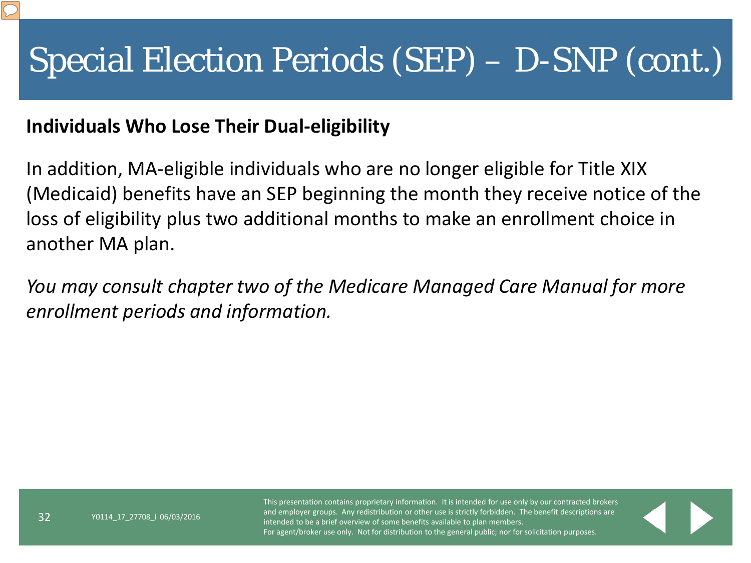# Special Election Periods (SEP) – D-SNP (cont.)

#### **Individuals Who Lose Their Dual-eligibility**

In addition, MA-eligible individuals who are no longer eligible for Title XIX (Medicaid) benefits have an SEP beginning the month they receive notice of the loss of eligibility plus two additional months to make an enrollment choice in another MA plan.

*You may consult chapter two of the Medicare Managed Care Manual for more enrollment periods and information.* 

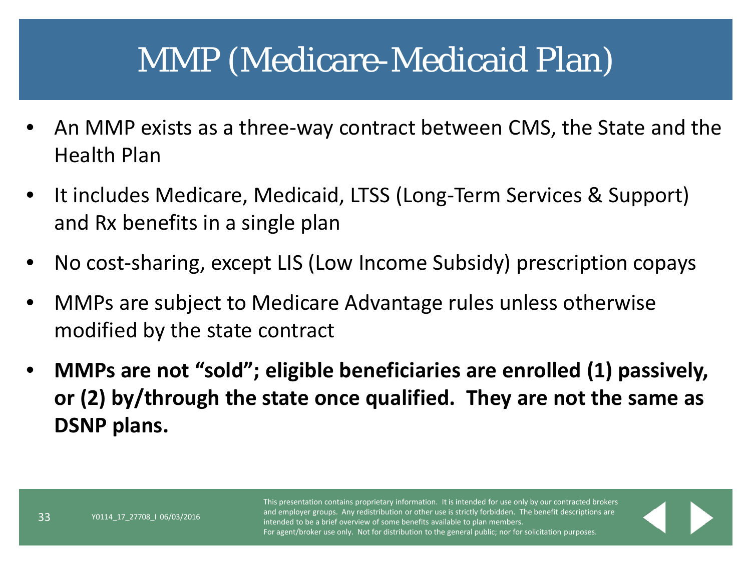#### MMP (Medicare-Medicaid Plan)

- An MMP exists as a three-way contract between CMS, the State and the Health Plan
- It includes Medicare, Medicaid, LTSS (Long-Term Services & Support) and Rx benefits in a single plan
- No cost-sharing, except LIS (Low Income Subsidy) prescription copays
- MMPs are subject to Medicare Advantage rules unless otherwise modified by the state contract
- **MMPs are not "sold"; eligible beneficiaries are enrolled (1) passively, or (2) by/through the state once qualified. They are not the same as DSNP plans.**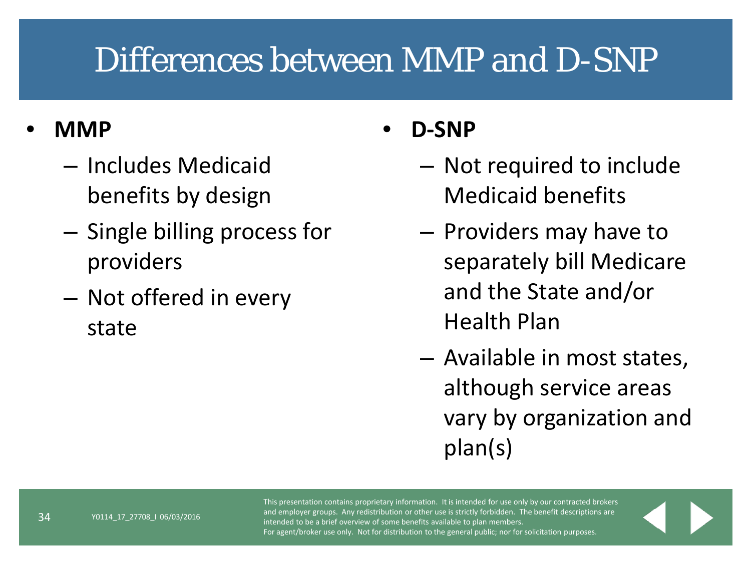## Differences between MMP and D-SNP

#### • **MMP**

- Includes Medicaid benefits by design
- Single billing process for providers
- Not offered in every state

#### • **D-SNP**

- Not required to include Medicaid benefits
- Providers may have to separately bill Medicare and the State and/or Health Plan
- Available in most states, although service areas vary by organization and plan(s)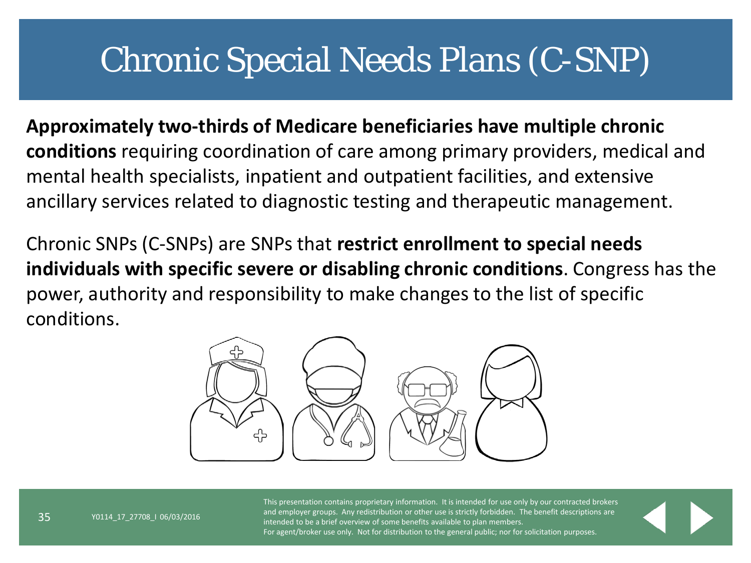#### Chronic Special Needs Plans (C-SNP)

**Approximately two-thirds of Medicare beneficiaries have multiple chronic conditions** requiring coordination of care among primary providers, medical and mental health specialists, inpatient and outpatient facilities, and extensive ancillary services related to diagnostic testing and therapeutic management.

Chronic SNPs (C-SNPs) are SNPs that **restrict enrollment to special needs individuals with specific severe or disabling chronic conditions**. Congress has the power, authority and responsibility to make changes to the list of specific conditions.

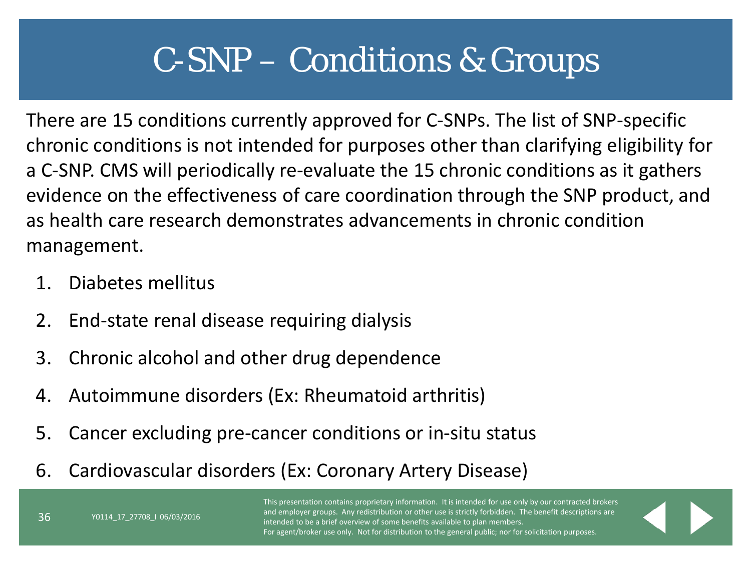# C-SNP – Conditions & Groups

There are 15 conditions currently approved for C-SNPs. The list of SNP-specific chronic conditions is not intended for purposes other than clarifying eligibility for a C-SNP. CMS will periodically re-evaluate the 15 chronic conditions as it gathers evidence on the effectiveness of care coordination through the SNP product, and as health care research demonstrates advancements in chronic condition management.

1. Diabetes mellitus

Y0114\_17\_27708\_I 06/03/2016

- 2. End-state renal disease requiring dialysis
- 3. Chronic alcohol and other drug dependence
- 4. Autoimmune disorders (Ex: Rheumatoid arthritis)
- 5. Cancer excluding pre-cancer conditions or in-situ status
- 6. Cardiovascular disorders (Ex: Coronary Artery Disease)

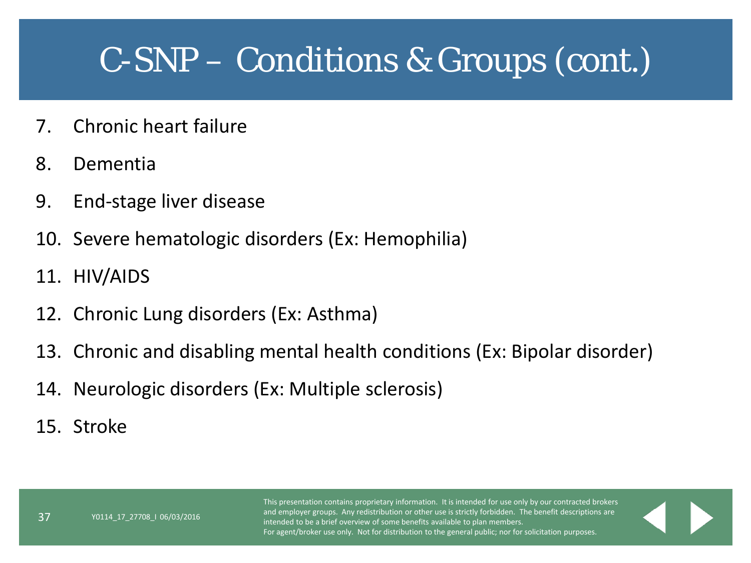#### C-SNP – Conditions & Groups (cont.)

- 7. Chronic heart failure
- 8. Dementia
- 9. End-stage liver disease
- 10. Severe hematologic disorders (Ex: Hemophilia)
- 11. HIV/AIDS
- 12. Chronic Lung disorders (Ex: Asthma)
- 13. Chronic and disabling mental health conditions (Ex: Bipolar disorder)
- 14. Neurologic disorders (Ex: Multiple sclerosis)
- 15. Stroke

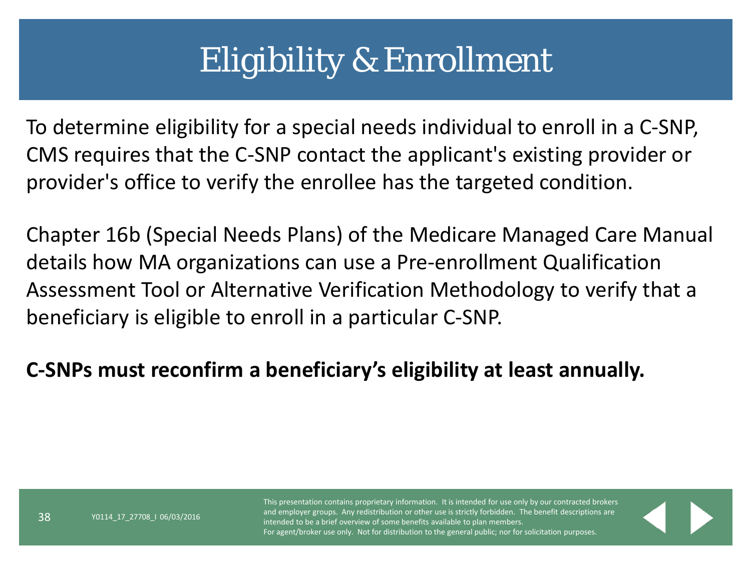## Eligibility & Enrollment

To determine eligibility for a special needs individual to enroll in a C-SNP, CMS requires that the C-SNP contact the applicant's existing provider or provider's office to verify the enrollee has the targeted condition.

Chapter 16b (Special Needs Plans) of the Medicare Managed Care Manual details how MA organizations can use a Pre-enrollment Qualification Assessment Tool or Alternative Verification Methodology to verify that a beneficiary is eligible to enroll in a particular C-SNP.

**C-SNPs must reconfirm a beneficiary's eligibility at least annually.**

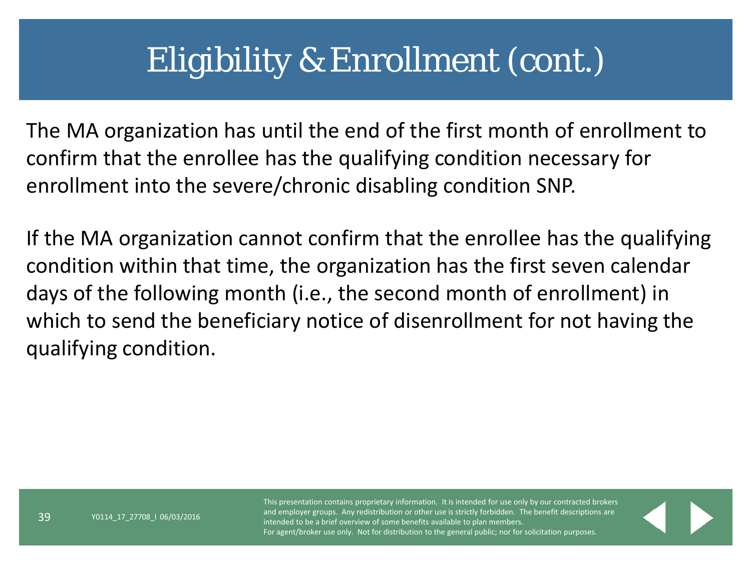## Eligibility & Enrollment (cont.)

The MA organization has until the end of the first month of enrollment to confirm that the enrollee has the qualifying condition necessary for enrollment into the severe/chronic disabling condition SNP.

If the MA organization cannot confirm that the enrollee has the qualifying condition within that time, the organization has the first seven calendar days of the following month (i.e., the second month of enrollment) in which to send the beneficiary notice of disenrollment for not having the qualifying condition.

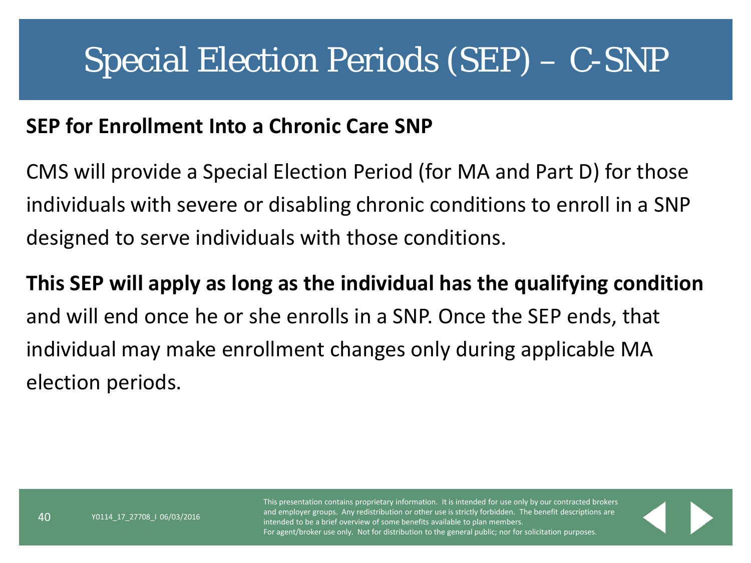#### Special Election Periods (SEP) – C-SNP

#### **SEP for Enrollment Into a Chronic Care SNP**

CMS will provide a Special Election Period (for MA and Part D) for those individuals with severe or disabling chronic conditions to enroll in a SNP designed to serve individuals with those conditions.

**This SEP will apply as long as the individual has the qualifying condition** and will end once he or she enrolls in a SNP. Once the SEP ends, that individual may make enrollment changes only during applicable MA election periods.

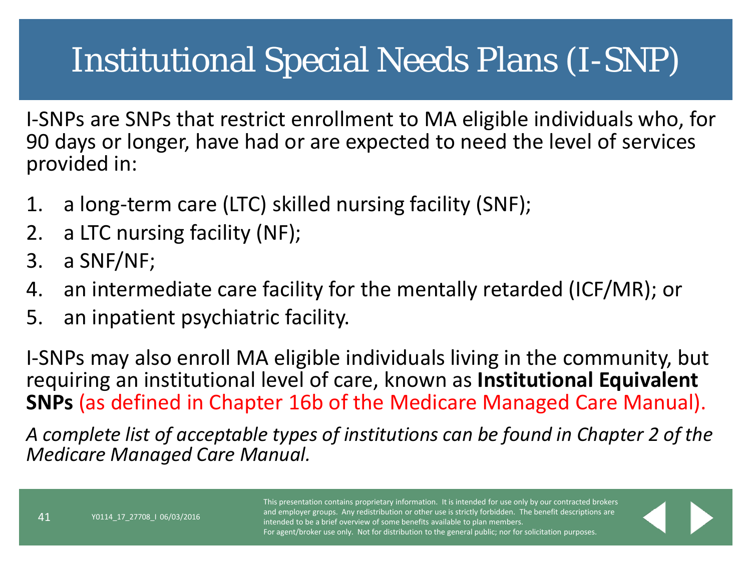# Institutional Special Needs Plans (I-SNP)

I-SNPs are SNPs that restrict enrollment to MA eligible individuals who, for 90 days or longer, have had or are expected to need the level of services provided in:

- 1. a long-term care (LTC) skilled nursing facility (SNF);
- 2. a LTC nursing facility (NF);
- 3. a SNF/NF;
- 4. an intermediate care facility for the mentally retarded (ICF/MR); or
- 5. an inpatient psychiatric facility.

I-SNPs may also enroll MA eligible individuals living in the community, but requiring an institutional level of care, known as **Institutional Equivalent SNPs** (as defined in Chapter 16b of the Medicare Managed Care Manual).

*A complete list of acceptable types of institutions can be found in Chapter 2 of the Medicare Managed Care Manual.*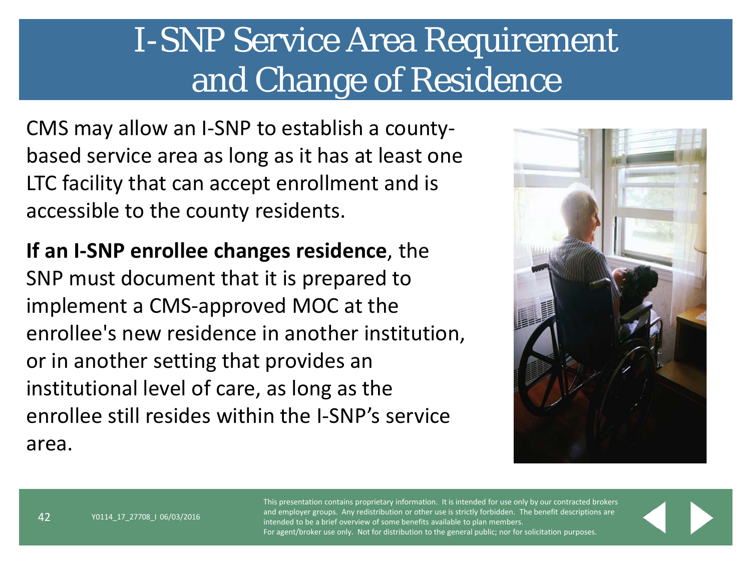### I-SNP Service Area Requirement and Change of Residence

CMS may allow an I-SNP to establish a countybased service area as long as it has at least one LTC facility that can accept enrollment and is accessible to the county residents.

**If an I-SNP enrollee changes residence**, the SNP must document that it is prepared to implement a CMS-approved MOC at the enrollee's new residence in another institution, or in another setting that provides an institutional level of care, as long as the enrollee still resides within the I-SNP's service area.

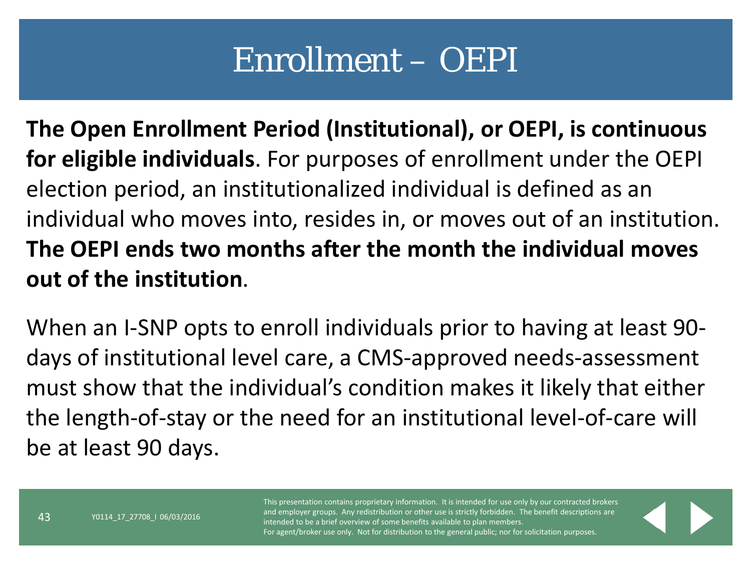#### Enrollment – OEPI

**The Open Enrollment Period (Institutional), or OEPI, is continuous for eligible individuals**. For purposes of enrollment under the OEPI election period, an institutionalized individual is defined as an individual who moves into, resides in, or moves out of an institution. **The OEPI ends two months after the month the individual moves out of the institution**.

When an I-SNP opts to enroll individuals prior to having at least 90 days of institutional level care, a CMS-approved needs-assessment must show that the individual's condition makes it likely that either the length-of-stay or the need for an institutional level-of-care will be at least 90 days.

43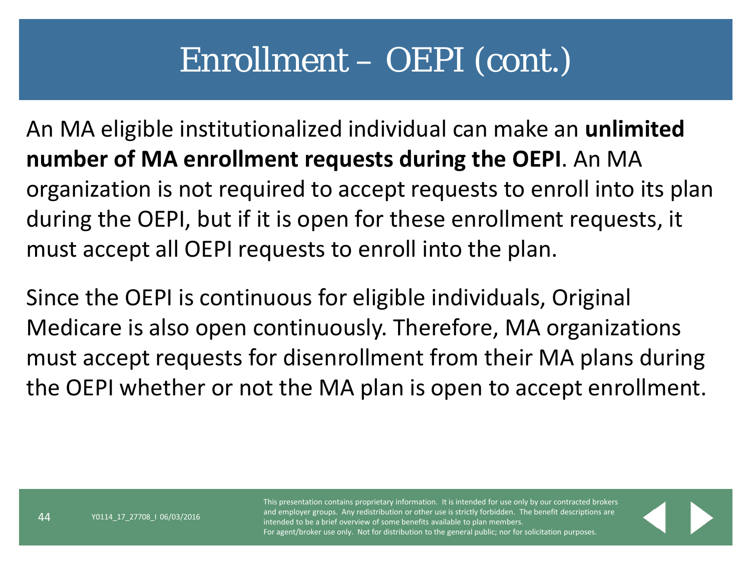#### Enrollment – OEPI (cont.)

An MA eligible institutionalized individual can make an **unlimited number of MA enrollment requests during the OEPI**. An MA organization is not required to accept requests to enroll into its plan during the OEPI, but if it is open for these enrollment requests, it must accept all OEPI requests to enroll into the plan.

Since the OEPI is continuous for eligible individuals, Original Medicare is also open continuously. Therefore, MA organizations must accept requests for disenrollment from their MA plans during the OEPI whether or not the MA plan is open to accept enrollment.